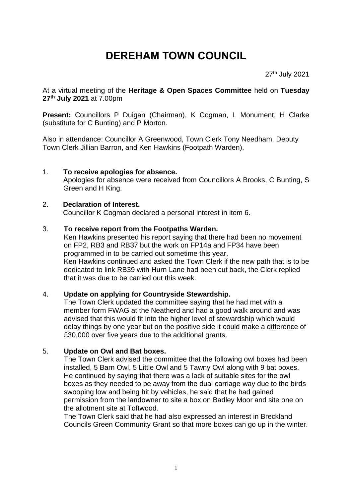# **DEREHAM TOWN COUNCIL**

27<sup>th</sup> July 2021

At a virtual meeting of the **Heritage & Open Spaces Committee** held on **Tuesday 27 th July 2021** at 7.00pm

**Present:** Councillors P Duigan (Chairman), K Cogman, L Monument, H Clarke (substitute for C Bunting) and P Morton.

Also in attendance: Councillor A Greenwood, Town Clerk Tony Needham, Deputy Town Clerk Jillian Barron, and Ken Hawkins (Footpath Warden).

## 1. **To receive apologies for absence.**

Apologies for absence were received from Councillors A Brooks, C Bunting, S Green and H King.

#### 2. **Declaration of Interest.**

Councillor K Cogman declared a personal interest in item 6.

#### 3. **To receive report from the Footpaths Warden.**

Ken Hawkins presented his report saying that there had been no movement on FP2, RB3 and RB37 but the work on FP14a and FP34 have been programmed in to be carried out sometime this year. Ken Hawkins continued and asked the Town Clerk if the new path that is to be

dedicated to link RB39 with Hurn Lane had been cut back, the Clerk replied that it was due to be carried out this week.

## 4. **Update on applying for Countryside Stewardship.**

The Town Clerk updated the committee saying that he had met with a member form FWAG at the Neatherd and had a good walk around and was advised that this would fit into the higher level of stewardship which would delay things by one year but on the positive side it could make a difference of £30,000 over five years due to the additional grants.

#### 5. **Update on Owl and Bat boxes.**

The Town Clerk advised the committee that the following owl boxes had been installed, 5 Barn Owl, 5 Little Owl and 5 Tawny Owl along with 9 bat boxes. He continued by saying that there was a lack of suitable sites for the owl boxes as they needed to be away from the dual carriage way due to the birds swooping low and being hit by vehicles, he said that he had gained permission from the landowner to site a box on Badley Moor and site one on the allotment site at Toftwood.

The Town Clerk said that he had also expressed an interest in Breckland Councils Green Community Grant so that more boxes can go up in the winter.